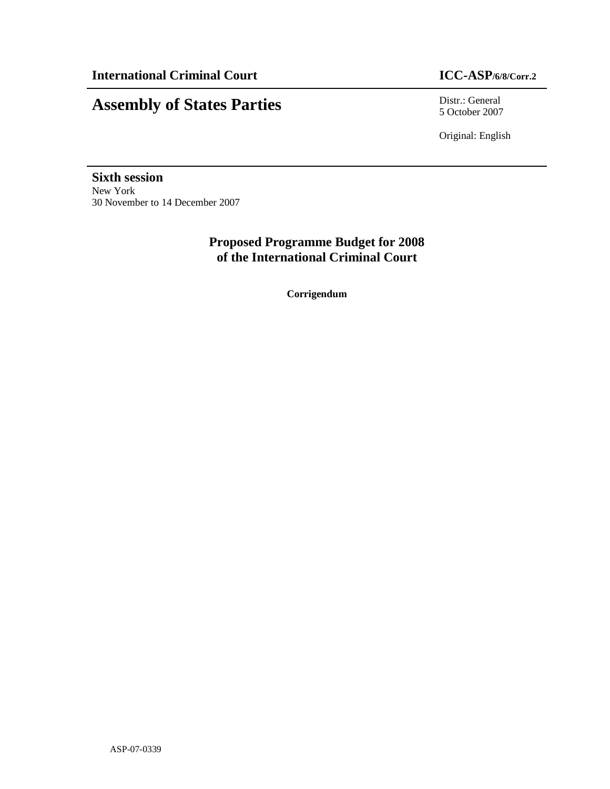# **Assembly of States Parties** Distriction Distriction Distriction Distriction Distriction of States 2007

5 October 2007

Original: English

**Sixth session**  New York 30 November to 14 December 2007

> **Proposed Programme Budget for 2008 of the International Criminal Court**

> > **Corrigendum**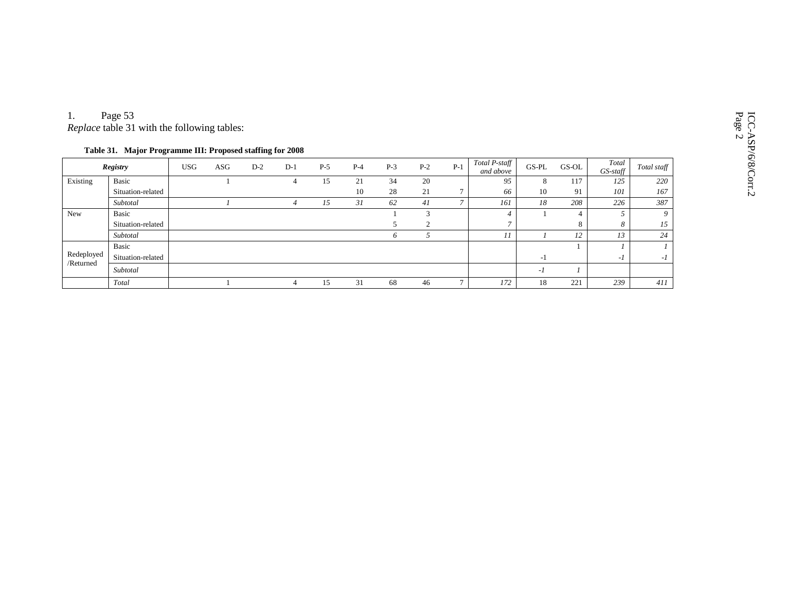| 1.                      | Page 53<br>Replace table 31 with the following tables:<br>Table 31. Major Programme III: Proposed staffing for 2008 |            |     |       |       |       |       |       |                |       |                            |         |       |                   |             |
|-------------------------|---------------------------------------------------------------------------------------------------------------------|------------|-----|-------|-------|-------|-------|-------|----------------|-------|----------------------------|---------|-------|-------------------|-------------|
|                         | <b>Registry</b>                                                                                                     | <b>USG</b> | ASG | $D-2$ | $D-1$ | $P-5$ | $P-4$ | $P-3$ | $P-2$          | $P-1$ | Total P-staff<br>and above | $GS-PL$ | GS-OL | Total<br>GS-staff | Total staff |
| Existing                | Basic                                                                                                               |            |     |       |       | 15    | 21    | 34    | 20             |       | 95                         | 8       | 117   | 125               | 220         |
|                         | Situation-related                                                                                                   |            |     |       |       |       | 10    | 28    | 21             |       | 66                         | 10      | 91    | 101               | 167         |
|                         | Subtotal                                                                                                            |            |     |       |       | 15    | 31    | 62    | 41             |       | 161                        | 18      | 208   | 226               | 387         |
| New                     | Basic                                                                                                               |            |     |       |       |       |       |       | 3              |       | $\overline{4}$             |         | 4     |                   | Q           |
|                         | Situation-related                                                                                                   |            |     |       |       |       |       |       | $\overline{2}$ |       | $\overline{ }$             |         | 8     | 8                 | 15          |
|                         | Subtotal                                                                                                            |            |     |       |       |       |       | O.    |                |       | 11                         |         | 12    | 13                | 24          |
|                         | Basic                                                                                                               |            |     |       |       |       |       |       |                |       |                            |         |       |                   |             |
| Redeployed<br>/Returned | Situation-related                                                                                                   |            |     |       |       |       |       |       |                |       |                            | $-1$    |       | -1                | $-I$        |
|                         | Subtotal                                                                                                            |            |     |       |       |       |       |       |                |       |                            | $-I$    |       |                   |             |
|                         | Total                                                                                                               |            |     |       |       | 15    | 31    | 68    | 46             |       | 172                        | 18      | 221   | 239               | 411         |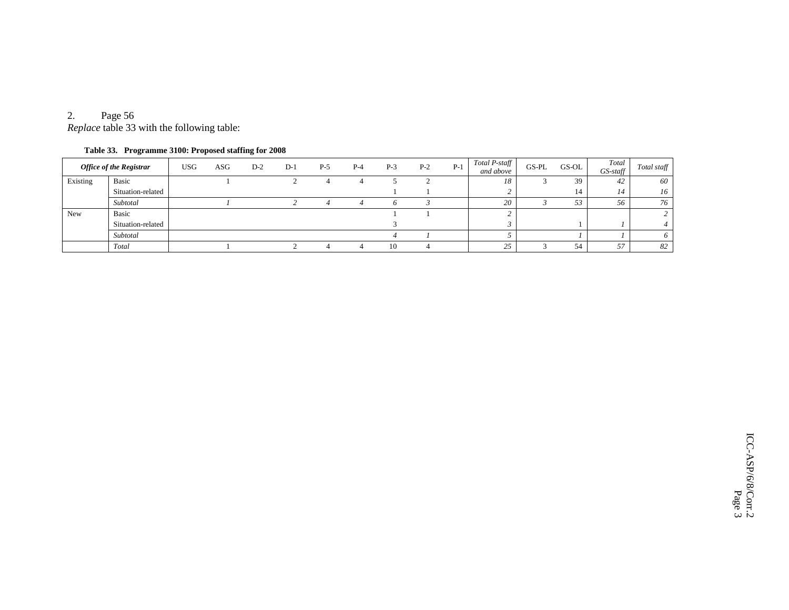# 2. Page 56

*Replace* table 33 with the following table:

### **Table 33. Programme 3100: Proposed staffing for 2008**

| <b>Office of the Registrar</b> |                   | <b>USG</b> | ASG | $D-2$ | $D-1$ | $P-5$ | $P-4$ | $P-3$ | $P-2$ | $P-1$ | Total P-staff<br>and above | GS-PL | GS-OL | Total<br>$GS$ -staff | Total staff |
|--------------------------------|-------------------|------------|-----|-------|-------|-------|-------|-------|-------|-------|----------------------------|-------|-------|----------------------|-------------|
| Existing                       | Basic             |            |     |       |       |       |       |       |       |       | 18                         |       | 39    | 42                   | 60          |
|                                | Situation-related |            |     |       |       |       |       |       |       |       |                            |       | 14    | 14                   | 16          |
|                                | Subtotal          |            |     |       |       |       |       |       |       |       | 20                         |       | 53    | 56                   | 76          |
| New                            | Basic             |            |     |       |       |       |       |       |       |       |                            |       |       |                      |             |
|                                | Situation-related |            |     |       |       |       |       |       |       |       |                            |       |       |                      |             |
|                                | Subtotal          |            |     |       |       |       |       |       |       |       |                            |       |       |                      |             |
|                                | Total             |            |     |       |       |       |       | 10    |       |       | $\cap \subset$<br>ر ت      |       | 54    | 57<br>ر ر            | 82          |